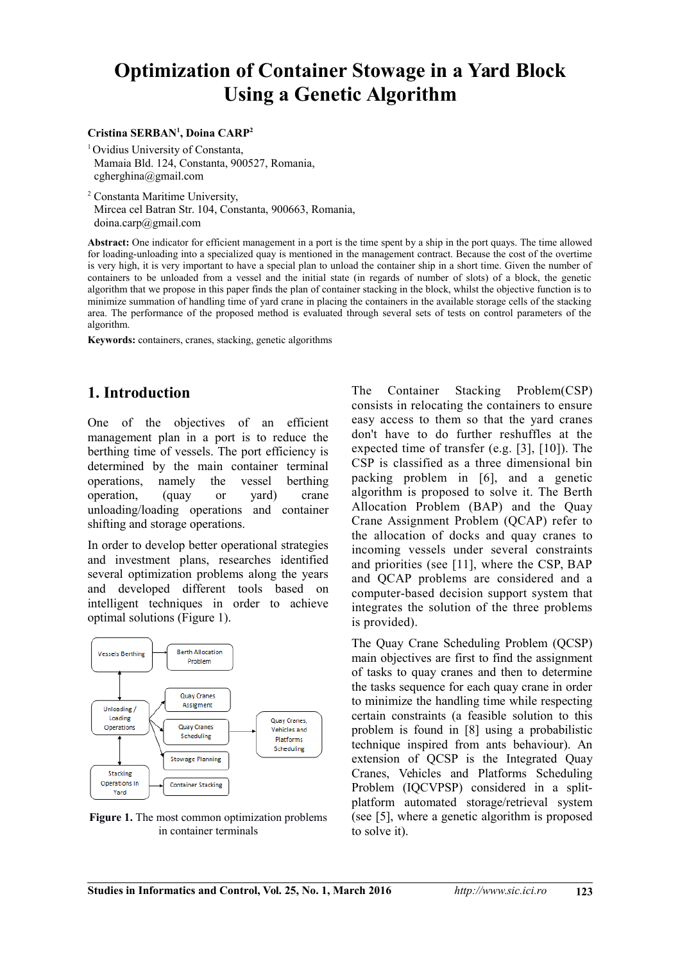# **Optimization of Container Stowage in a Yard Block Using a Genetic Algorithm**

#### **Cristina SERBAN<sup>1</sup> , Doina CARP<sup>2</sup>**

<sup>1</sup> Ovidius University of Constanta, Mamaia Bld. 124, Constanta, 900527, Romania, cgherghina@gmail.com

<sup>2</sup> Constanta Maritime University, Mircea cel Batran Str. 104, Constanta, 900663, Romania, doina.carp@gmail.com

**Abstract:** One indicator for efficient management in a port is the time spent by a ship in the port quays. The time allowed for loading-unloading into a specialized quay is mentioned in the management contract. Because the cost of the overtime is very high, it is very important to have a special plan to unload the container ship in a short time. Given the number of containers to be unloaded from a vessel and the initial state (in regards of number of slots) of a block, the genetic algorithm that we propose in this paper finds the plan of container stacking in the block, whilst the objective function is to minimize summation of handling time of yard crane in placing the containers in the available storage cells of the stacking area. The performance of the proposed method is evaluated through several sets of tests on control parameters of the algorithm.

**Keywords:** containers, cranes, stacking, genetic algorithms

## **1. Introduction**

One of the objectives of an efficient management plan in a port is to reduce the berthing time of vessels. The port efficiency is determined by the main container terminal operations, namely the vessel berthing operation, (quay or yard) crane unloading/loading operations and container shifting and storage operations.

In order to develop better operational strategies and investment plans, researches identified several optimization problems along the years and developed different tools based on intelligent techniques in order to achieve optimal solutions (Figure 1).



**Figure 1.** The most common optimization problems in container terminals

The Container Stacking Problem(CSP) consists in relocating the containers to ensure easy access to them so that the yard cranes don't have to do further reshuffles at the expected time of transfer (e.g. [3], [10]). The CSP is classified as a three dimensional bin packing problem in [6], and a genetic algorithm is proposed to solve it. The Berth Allocation Problem (BAP) and the Quay Crane Assignment Problem (QCAP) refer to the allocation of docks and quay cranes to incoming vessels under several constraints and priorities (see [11], where the CSP, BAP and QCAP problems are considered and a computer-based decision support system that integrates the solution of the three problems is provided).

The Quay Crane Scheduling Problem (QCSP) main objectives are first to find the assignment of tasks to quay cranes and then to determine the tasks sequence for each quay crane in order to minimize the handling time while respecting certain constraints (a feasible solution to this problem is found in [8] using a probabilistic technique inspired from ants behaviour). An extension of QCSP is the Integrated Quay Cranes, Vehicles and Platforms Scheduling Problem (IQCVPSP) considered in a splitplatform automated storage/retrieval system (see [5], where a genetic algorithm is proposed to solve it).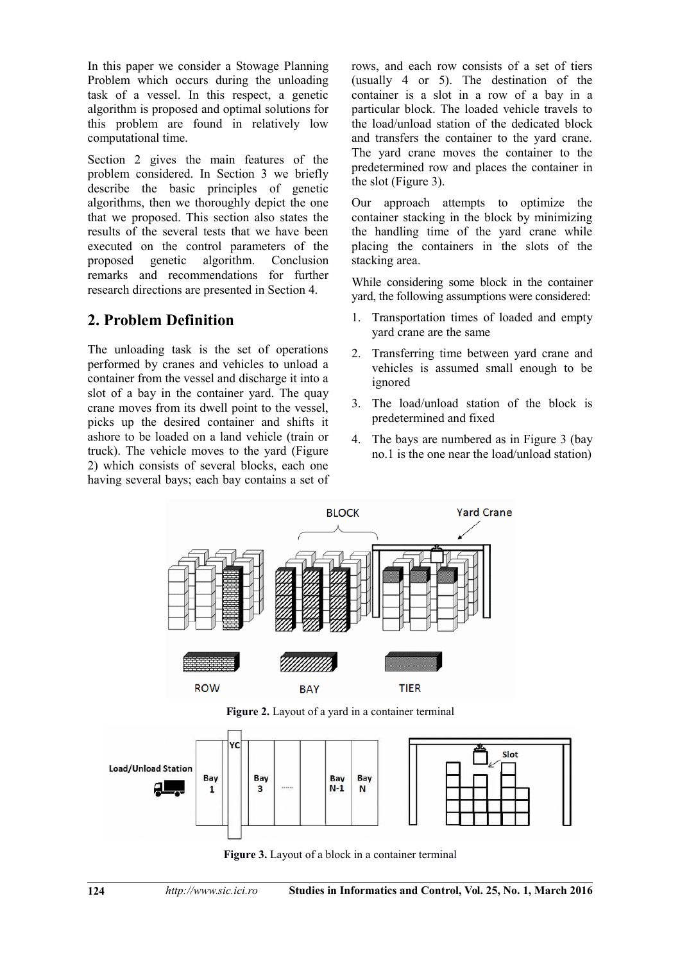In this paper we consider a Stowage Planning Problem which occurs during the unloading task of a vessel. In this respect, a genetic algorithm is proposed and optimal solutions for this problem are found in relatively low computational time.

Section 2 gives the main features of the problem considered. In Section 3 we briefly describe the basic principles of genetic algorithms, then we thoroughly depict the one that we proposed. This section also states the results of the several tests that we have been executed on the control parameters of the proposed genetic algorithm. Conclusion remarks and recommendations for further research directions are presented in Section 4.

# **2. Problem Definition**

The unloading task is the set of operations performed by cranes and vehicles to unload a container from the vessel and discharge it into a slot of a bay in the container yard. The quay crane moves from its dwell point to the vessel, picks up the desired container and shifts it ashore to be loaded on a land vehicle (train or truck). The vehicle moves to the yard (Figure 2) which consists of several blocks, each one having several bays; each bay contains a set of rows, and each row consists of a set of tiers (usually 4 or 5). The destination of the container is a slot in a row of a bay in a particular block. The loaded vehicle travels to the load/unload station of the dedicated block and transfers the container to the yard crane. The yard crane moves the container to the predetermined row and places the container in the slot (Figure 3).

Our approach attempts to optimize the container stacking in the block by minimizing the handling time of the yard crane while placing the containers in the slots of the stacking area.

While considering some block in the container yard, the following assumptions were considered:

- 1. Transportation times of loaded and empty yard crane are the same
- 2. Transferring time between yard crane and vehicles is assumed small enough to be ignored
- 3. The load/unload station of the block is predetermined and fixed
- 4. The bays are numbered as in Figure 3 (bay no.1 is the one near the load/unload station)



**Figure 2.** Layout of a yard in a container terminal



**Figure 3.** Layout of a block in a container terminal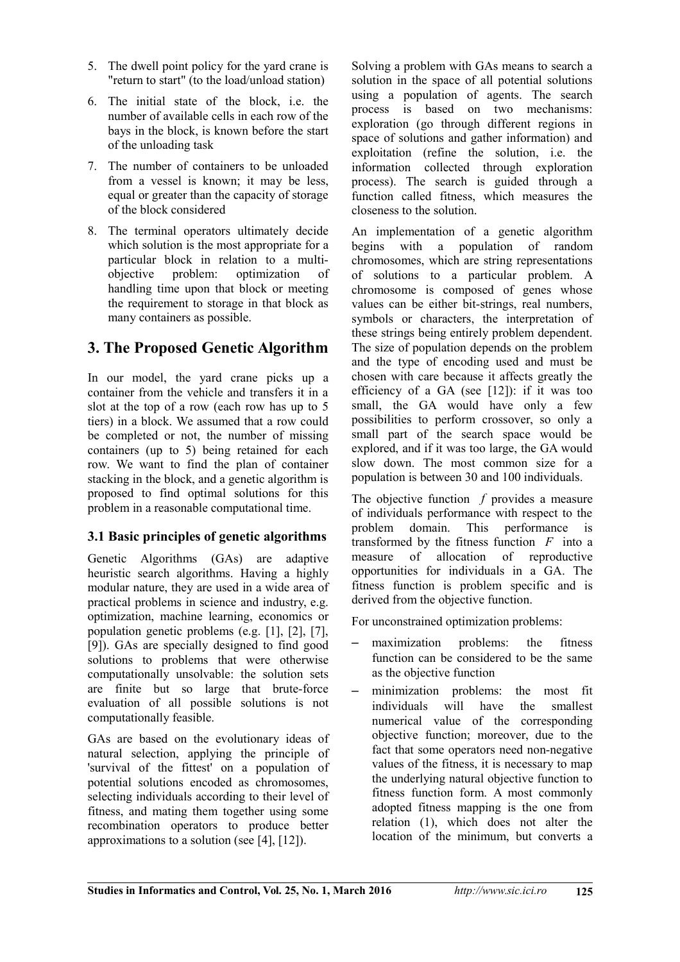- 5. The dwell point policy for the yard crane is "return to start" (to the load/unload station)
- 6. The initial state of the block, i.e. the number of available cells in each row of the bays in the block, is known before the start of the unloading task
- 7. The number of containers to be unloaded from a vessel is known; it may be less, equal or greater than the capacity of storage of the block considered
- 8. The terminal operators ultimately decide which solution is the most appropriate for a particular block in relation to a multiobjective problem: optimization of handling time upon that block or meeting the requirement to storage in that block as many containers as possible.

# **3. The Proposed Genetic Algorithm**

In our model, the yard crane picks up a container from the vehicle and transfers it in a slot at the top of a row (each row has up to 5 tiers) in a block. We assumed that a row could be completed or not, the number of missing containers (up to 5) being retained for each row. We want to find the plan of container stacking in the block, and a genetic algorithm is proposed to find optimal solutions for this problem in a reasonable computational time.

### **3.1 Basic principles of genetic algorithms**

Genetic Algorithms (GAs) are adaptive heuristic search algorithms. Having a highly modular nature, they are used in a wide area of practical problems in science and industry, e.g. optimization, machine learning, economics or population genetic problems (e.g. [1], [2], [7], [9]). GAs are specially designed to find good solutions to problems that were otherwise computationally unsolvable: the solution sets are finite but so large that brute-force evaluation of all possible solutions is not computationally feasible.

GAs are based on the evolutionary ideas of natural selection, applying the principle of 'survival of the fittest' on a population of potential solutions encoded as chromosomes, selecting individuals according to their level of fitness, and mating them together using some recombination operators to produce better approximations to a solution (see [4], [12]).

Solving a problem with GAs means to search a solution in the space of all potential solutions using a population of agents. The search process is based on two mechanisms: exploration (go through different regions in space of solutions and gather information) and exploitation (refine the solution, i.e. the information collected through exploration process). The search is guided through a function called fitness, which measures the closeness to the solution.

An implementation of a genetic algorithm begins with a population of random chromosomes, which are string representations of solutions to a particular problem. A chromosome is composed of genes whose values can be either bit-strings, real numbers, symbols or characters, the interpretation of these strings being entirely problem dependent. The size of population depends on the problem and the type of encoding used and must be chosen with care because it affects greatly the efficiency of a GA (see [12]): if it was too small, the GA would have only a few possibilities to perform crossover, so only a small part of the search space would be explored, and if it was too large, the GA would slow down. The most common size for a population is between 30 and 100 individuals.

The objective function *f* provides a measure of individuals performance with respect to the problem domain. This performance is transformed by the fitness function *F* into a measure of allocation of reproductive opportunities for individuals in a GA. The fitness function is problem specific and is derived from the objective function.

For unconstrained optimization problems:

- maximization problems: the fitness function can be considered to be the same as the objective function
- minimization problems: the most fit individuals will have the smallest numerical value of the corresponding objective function; moreover, due to the fact that some operators need non-negative values of the fitness, it is necessary to map the underlying natural objective function to fitness function form. A most commonly adopted fitness mapping is the one from relation (1), which does not alter the location of the minimum, but converts a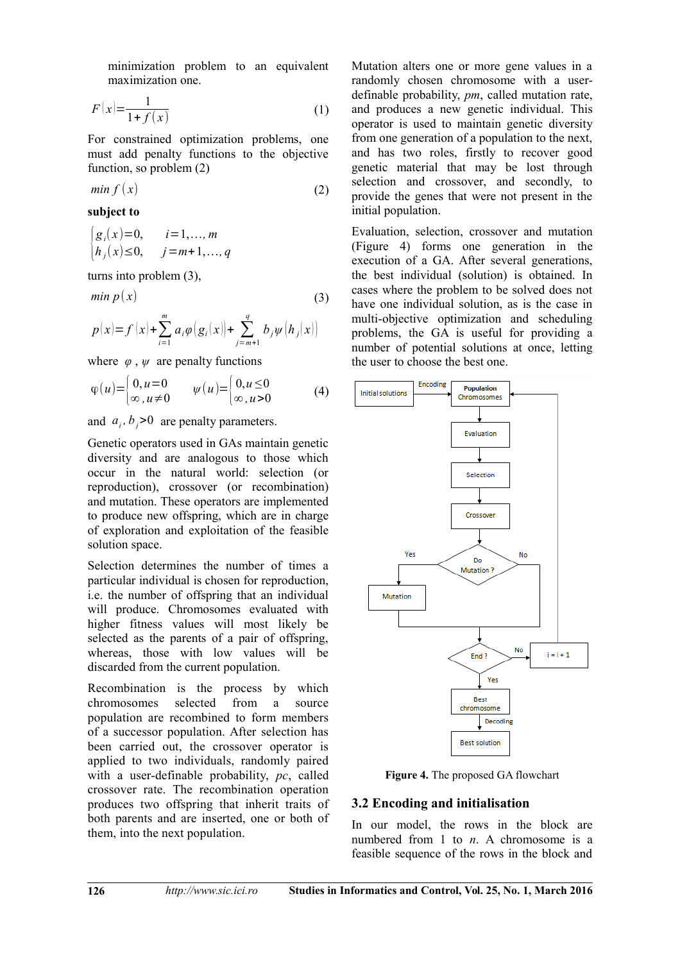minimization problem to an equivalent maximization one.

$$
F(x) = \frac{1}{1 + f(x)}\tag{1}
$$

For constrained optimization problems, one must add penalty functions to the objective function, so problem (2)

$$
min f(x) \tag{2}
$$

**subject to**

$$
\begin{cases} g_i(x)=0, & i=1,...,m \\ h_j(x)\le 0, & j=m+1,...,q \end{cases}
$$

turns into problem (3),

$$
min p(x) \tag{3}
$$

$$
p(x) = f(x) + \sum_{i=1}^{m} a_i \varphi(g_i(x)) + \sum_{j=m+1}^{q} b_j \psi(h_j(x))
$$

where  $\varphi$ ,  $\psi$  are penalty functions

$$
\varphi(u) = \begin{cases} 0, u = 0 & \psi(u) = \begin{cases} 0, u \le 0 \\ \infty, u \ne 0 \end{cases} \tag{4}
$$

and  $a_i$ ,  $b_j$ >0 are penalty parameters.

Genetic operators used in GAs maintain genetic diversity and are analogous to those which occur in the natural world: selection (or reproduction), crossover (or recombination) and mutation. These operators are implemented to produce new offspring, which are in charge of exploration and exploitation of the feasible solution space.

Selection determines the number of times a particular individual is chosen for reproduction, i.e. the number of offspring that an individual will produce. Chromosomes evaluated with higher fitness values will most likely be selected as the parents of a pair of offspring, whereas, those with low values will be discarded from the current population.

Recombination is the process by which chromosomes selected from a source population are recombined to form members of a successor population. After selection has been carried out, the crossover operator is applied to two individuals, randomly paired with a user-definable probability, *pc*, called crossover rate. The recombination operation produces two offspring that inherit traits of both parents and are inserted, one or both of them, into the next population.

Mutation alters one or more gene values in a randomly chosen chromosome with a userdefinable probability, *pm*, called mutation rate, and produces a new genetic individual. This operator is used to maintain genetic diversity from one generation of a population to the next, and has two roles, firstly to recover good genetic material that may be lost through selection and crossover, and secondly, to provide the genes that were not present in the initial population.

Evaluation, selection, crossover and mutation (Figure 4) forms one generation in the execution of a GA. After several generations, the best individual (solution) is obtained. In cases where the problem to be solved does not have one individual solution, as is the case in multi-objective optimization and scheduling problems, the GA is useful for providing a number of potential solutions at once, letting the user to choose the best one.



**Figure 4.** The proposed GA flowchart

### **3.2 Encoding and initialisation**

In our model, the rows in the block are numbered from 1 to *n*. A chromosome is a feasible sequence of the rows in the block and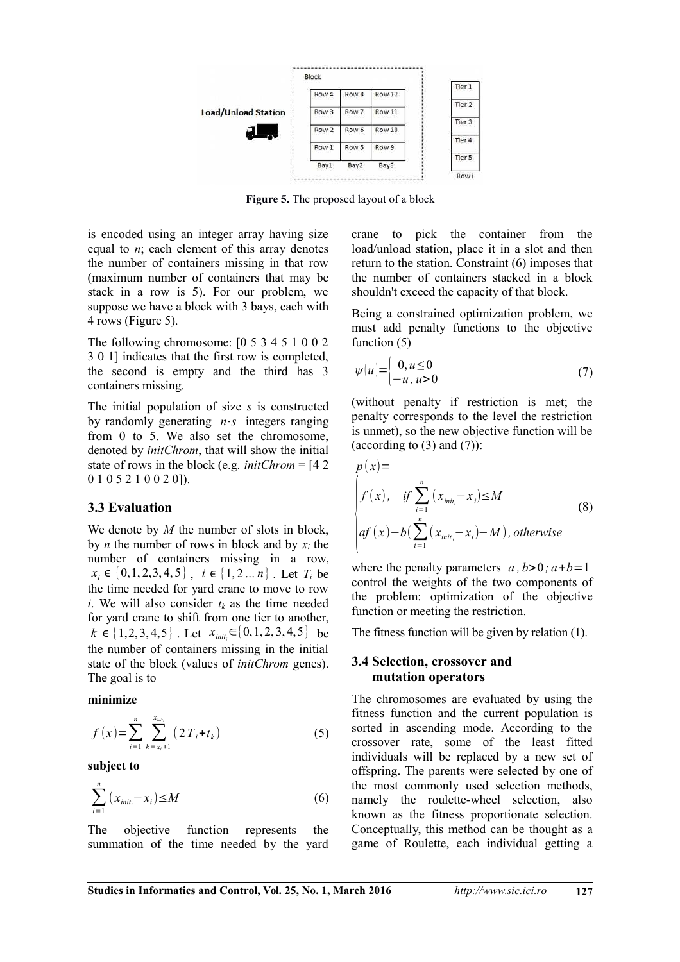

**Figure 5.** The proposed layout of a block

is encoded using an integer array having size equal to *n*; each element of this array denotes the number of containers missing in that row (maximum number of containers that may be stack in a row is 5). For our problem, we suppose we have a block with 3 bays, each with 4 rows (Figure 5).

The following chromosome: [0 5 3 4 5 1 0 0 2 3 0 1] indicates that the first row is completed, the second is empty and the third has 3 containers missing.

The initial population of size *s* is constructed by randomly generating *n*⋅*s* integers ranging from 0 to 5. We also set the chromosome, denoted by *initChrom*, that will show the initial state of rows in the block (e.g. *initChrom* = [4 2 0 1 0 5 2 1 0 0 2 0]).

#### **3.3 Evaluation**

We denote by *M* the number of slots in block. by *n* the number of rows in block and by  $x_i$  the number of containers missing in a row,  $x_i \in \{0, 1, 2, 3, 4, 5\}$ ,  $i \in \{1, 2, \ldots n\}$ . Let *T<sub>i</sub>* be the time needed for yard crane to move to row *i*. We will also consider  $t_k$  as the time needed for yard crane to shift from one tier to another,  $k \in \{1, 2, 3, 4, 5\}$ . Let  $x_{\text{init}_i} \in \{0, 1, 2, 3, 4, 5\}$  be the number of containers missing in the initial state of the block (values of *initChrom* genes). The goal is to

#### **minimize**

$$
f(x) = \sum_{i=1}^{n} \sum_{k=x_i+1}^{x_{\text{init}}} (2 T_i + t_k)
$$
 (5)

**subject to**

$$
\sum_{i=1}^{n} (x_{\text{init}_i} - x_i) \le M \tag{6}
$$

The objective function represents the summation of the time needed by the yard crane to pick the container from the load/unload station, place it in a slot and then return to the station. Constraint (6) imposes that the number of containers stacked in a block shouldn't exceed the capacity of that block.

Being a constrained optimization problem, we must add penalty functions to the objective function (5)

$$
\psi(u) = \begin{cases} 0, u \le 0 \\ -u, u > 0 \end{cases} \tag{7}
$$

(without penalty if restriction is met; the penalty corresponds to the level the restriction is unmet), so the new objective function will be (according to  $(3)$  and  $(7)$ ):

$$
p(x)=\n\begin{cases}\nf(x), & \text{if } \sum_{i=1}^{n} (x_{\text{init}_{i}}-x_{i}) \leq M \\
\text{if } (x)-b\left(\sum_{i=1}^{n} (x_{\text{init}_{i}}-x_{i})-M\right), \text{otherwise}\n\end{cases}
$$
\n(8)

where the penalty parameters  $a, b > 0$ ;  $a + b = 1$ control the weights of the two components of the problem: optimization of the objective function or meeting the restriction.

The fitness function will be given by relation (1).

#### **3.4 Selection, crossover and mutation operators**

The chromosomes are evaluated by using the fitness function and the current population is sorted in ascending mode. According to the crossover rate, some of the least fitted individuals will be replaced by a new set of offspring. The parents were selected by one of the most commonly used selection methods, namely the roulette-wheel selection, also known as the fitness proportionate selection. Conceptually, this method can be thought as a game of Roulette, each individual getting a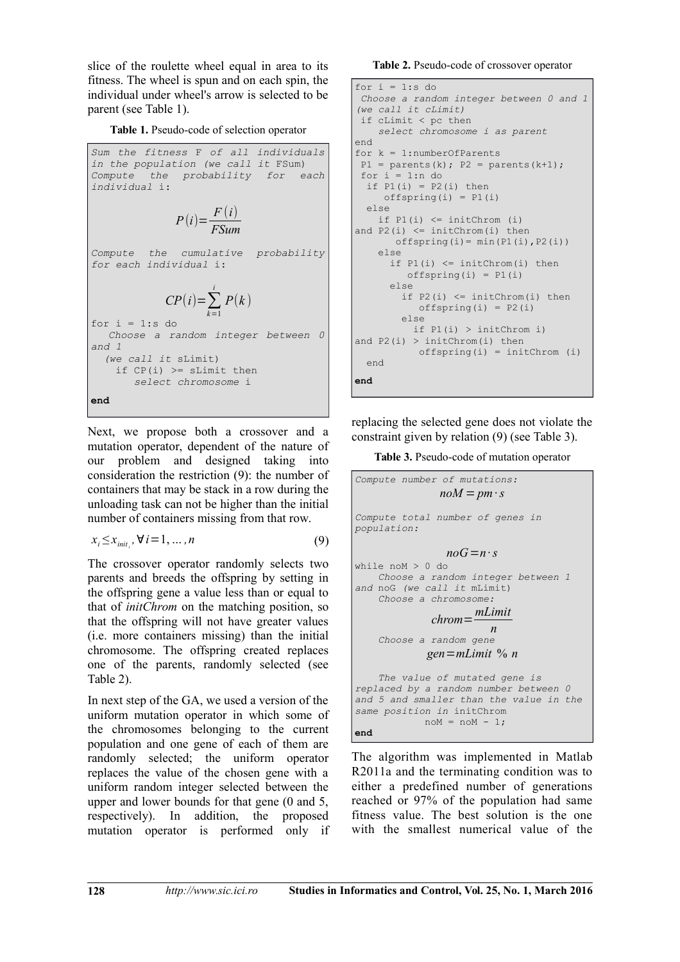slice of the roulette wheel equal in area to its fitness. The wheel is spun and on each spin, the individual under wheel's arrow is selected to be parent (see Table 1).

**Table 1.** Pseudo-code of selection operator

```
Sum the fitness F of all individuals
in the population (we call it FSum)
Compute the probability for each
individual i:
               P(i) = \frac{F(i)}{F S(i)}FSum
Compute the cumulative probability
for each individual i:
             CP(i) = \sum_{k=1}^{n}i
                        P(k )
for i = 1:s do
   Choose a random integer between 0
and 1 
   (we call it sLimit)
   if CP(i) \geq SLimit then
        select chromosome i 
end
```
Next, we propose both a crossover and a mutation operator, dependent of the nature of our problem and designed taking into consideration the restriction (9): the number of containers that may be stack in a row during the unloading task can not be higher than the initial number of containers missing from that row.

$$
x_i \le x_{\text{init}_i}, \forall i = 1, \dots, n \tag{9}
$$

The crossover operator randomly selects two parents and breeds the offspring by setting in the offspring gene a value less than or equal to that of *initChrom* on the matching position, so that the offspring will not have greater values (i.e. more containers missing) than the initial chromosome. The offspring created replaces one of the parents, randomly selected (see Table 2).

In next step of the GA, we used a version of the uniform mutation operator in which some of the chromosomes belonging to the current population and one gene of each of them are randomly selected; the uniform operator replaces the value of the chosen gene with a uniform random integer selected between the upper and lower bounds for that gene (0 and 5, respectively). In addition, the proposed mutation operator is performed only if

**Table 2.** Pseudo-code of crossover operator

```
for i = 1:s do
 Choose a random integer between 0 and 1
(we call it cLimit)
 if cLimit < pc then 
    select chromosome i as parent
end
for k = 1: number Of Parents
P1 = parents(k); P2 = parents(k+1);for i = 1:n do
 if P1(i) = P2(i) then
    offspring(i) = P1(i) else
   if P1(i) \leq intChrom(i)and P2(i) \leq initChrom(i) then
      offspring(i) = min(PI(i),P2(i)) else 
     if P1(i) \leq initChrom(i) then
         offspring(i) = P1(i) else 
       if P2(i) \leq initChrom(i) then
          offspring(i) = P2(i) else 
          if P1(i) > initChrom i) 
and P2(i) > initChrom(i) thenoffspring(i) = initChrom (i) end 
end
```
replacing the selected gene does not violate the constraint given by relation (9) (see Table 3).

**Table 3.** Pseudo-code of mutation operator

```
Compute number of mutations:
               noM = pm \cdot sCompute total number of genes in 
population:
                n \circ G = n \cdot swhile noM > 0 do
    Choose a random integer between 1 
and noG (we call it mLimit)
     Choose a chromosome:
              chrom=
mLimit
                      n
     Choose a random gene
            gen=mLimit % n
    The value of mutated gene is 
replaced by a random number between 0 
and 5 and smaller than the value in the 
same position in initChrom
           now = nom - 1;end
```
The algorithm was implemented in Matlab R2011a and the terminating condition was to either a predefined number of generations reached or 97% of the population had same fitness value. The best solution is the one with the smallest numerical value of the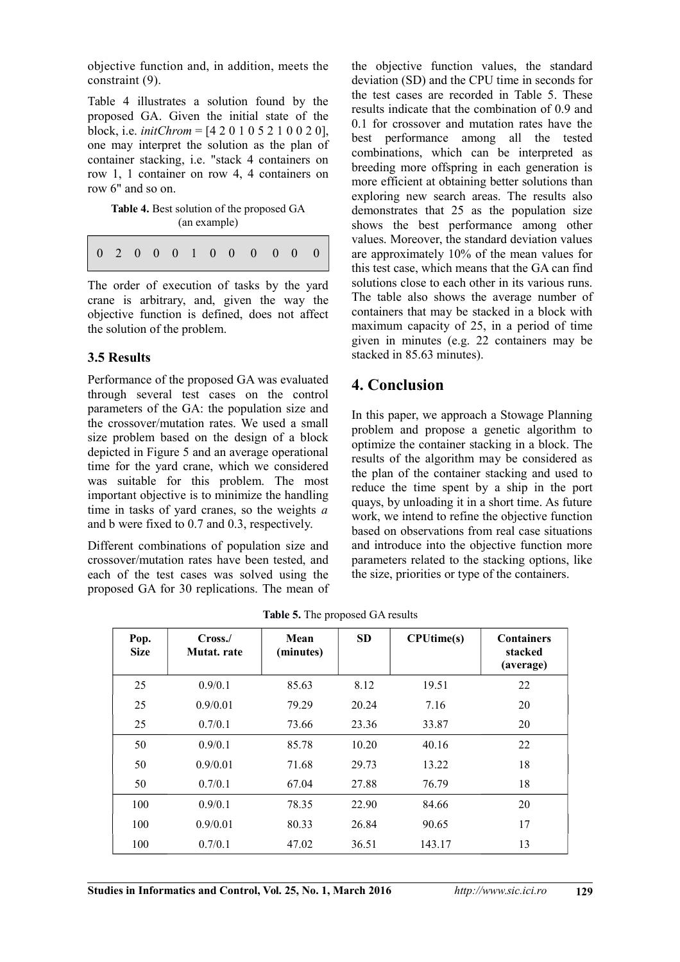objective function and, in addition, meets the constraint (9).

Table 4 illustrates a solution found by the proposed GA. Given the initial state of the block, i.e. *initChrom* = [4 2 0 1 0 5 2 1 0 0 2 0], one may interpret the solution as the plan of container stacking, i.e. "stack 4 containers on row 1, 1 container on row 4, 4 containers on row 6" and so on.

Table 4. Best solution of the proposed GA (an example)

0 2 0 0 0 1 0 0 0 0 0 0

The order of execution of tasks by the yard crane is arbitrary, and, given the way the objective function is defined, does not affect the solution of the problem.

### **3.5 Results**

Performance of the proposed GA was evaluated through several test cases on the control parameters of the GA: the population size and the crossover/mutation rates. We used a small size problem based on the design of a block depicted in Figure 5 and an average operational time for the yard crane, which we considered was suitable for this problem. The most important objective is to minimize the handling time in tasks of yard cranes, so the weights *a* and b were fixed to 0.7 and 0.3, respectively.

Different combinations of population size and crossover/mutation rates have been tested, and each of the test cases was solved using the proposed GA for 30 replications. The mean of the objective function values, the standard deviation (SD) and the CPU time in seconds for the test cases are recorded in Table 5. These results indicate that the combination of 0.9 and 0.1 for crossover and mutation rates have the best performance among all the tested combinations, which can be interpreted as breeding more offspring in each generation is more efficient at obtaining better solutions than exploring new search areas. The results also demonstrates that 25 as the population size shows the best performance among other values. Moreover, the standard deviation values are approximately 10% of the mean values for this test case, which means that the GA can find solutions close to each other in its various runs. The table also shows the average number of containers that may be stacked in a block with maximum capacity of 25, in a period of time given in minutes (e.g. 22 containers may be stacked in 85.63 minutes).

# **4. Conclusion**

In this paper, we approach a Stowage Planning problem and propose a genetic algorithm to optimize the container stacking in a block. The results of the algorithm may be considered as the plan of the container stacking and used to reduce the time spent by a ship in the port quays, by unloading it in a short time. As future work, we intend to refine the objective function based on observations from real case situations and introduce into the objective function more parameters related to the stacking options, like the size, priorities or type of the containers.

| Pop.<br><b>Size</b> | Cross/<br>Mutat. rate | Mean<br>(minutes) | <b>SD</b> | <b>CPUtime(s)</b> | <b>Containers</b><br>stacked<br>(average) |
|---------------------|-----------------------|-------------------|-----------|-------------------|-------------------------------------------|
| 25                  | 0.9/0.1               | 85.63             | 8.12      | 19.51             | 22                                        |
| 25                  | 0.9/0.01              | 79.29             | 20.24     | 7.16              | 20                                        |
| 25                  | 0.7/0.1               | 73.66             | 23.36     | 33.87             | 20                                        |
| 50                  | 0.9/0.1               | 85.78             | 10.20     | 40.16             | 22                                        |
| 50                  | 0.9/0.01              | 71.68             | 29.73     | 13.22             | 18                                        |
| 50                  | 0.7/0.1               | 67.04             | 27.88     | 76.79             | 18                                        |
| 100                 | 0.9/0.1               | 78.35             | 22.90     | 84.66             | 20                                        |
| 100                 | 0.9/0.01              | 80.33             | 26.84     | 90.65             | 17                                        |
| 100                 | 0.7/0.1               | 47.02             | 36.51     | 143.17            | 13                                        |

**Table 5.** The proposed GA results